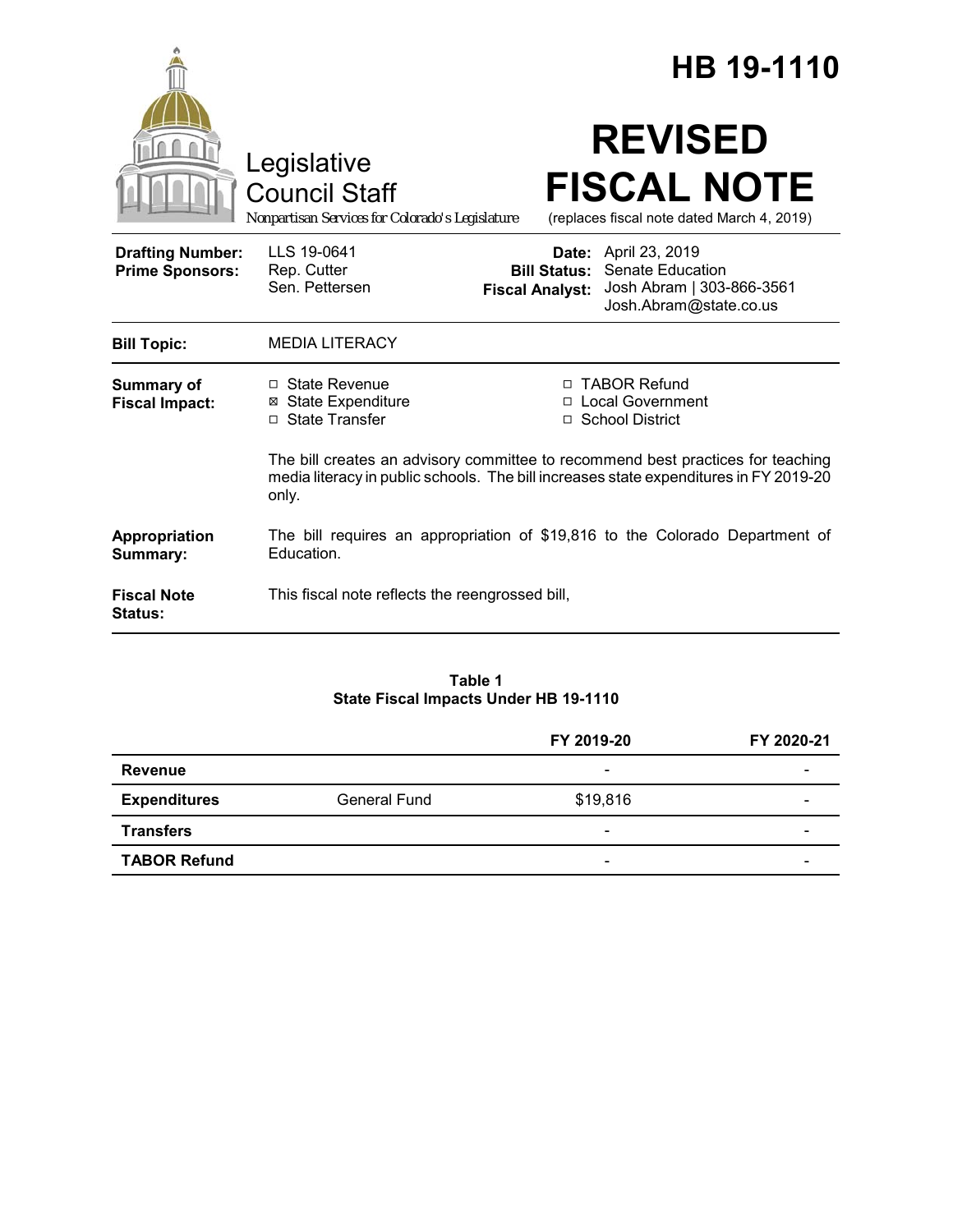|                                                   |                                                                                                                                                                                   | HB 19-1110                                                                                                                                    |  |
|---------------------------------------------------|-----------------------------------------------------------------------------------------------------------------------------------------------------------------------------------|-----------------------------------------------------------------------------------------------------------------------------------------------|--|
|                                                   | Legislative<br><b>Council Staff</b><br>Nonpartisan Services for Colorado's Legislature                                                                                            | <b>REVISED</b><br><b>FISCAL NOTE</b><br>(replaces fiscal note dated March 4, 2019)                                                            |  |
| <b>Drafting Number:</b><br><b>Prime Sponsors:</b> | LLS 19-0641<br>Rep. Cutter<br>Sen. Pettersen                                                                                                                                      | Date: April 23, 2019<br><b>Bill Status: Senate Education</b><br>Josh Abram   303-866-3561<br><b>Fiscal Analyst:</b><br>Josh.Abram@state.co.us |  |
| <b>Bill Topic:</b>                                | <b>MEDIA LITERACY</b>                                                                                                                                                             |                                                                                                                                               |  |
| <b>Summary of</b><br><b>Fiscal Impact:</b>        | □ State Revenue<br><b>⊠</b> State Expenditure<br>□ State Transfer                                                                                                                 | □ TABOR Refund<br>□ Local Government<br>□ School District                                                                                     |  |
|                                                   | The bill creates an advisory committee to recommend best practices for teaching<br>media literacy in public schools. The bill increases state expenditures in FY 2019-20<br>only. |                                                                                                                                               |  |
| Appropriation<br>Summary:                         | The bill requires an appropriation of \$19,816 to the Colorado Department of<br>Education.                                                                                        |                                                                                                                                               |  |
| <b>Fiscal Note</b><br>Status:                     | This fiscal note reflects the reengrossed bill,                                                                                                                                   |                                                                                                                                               |  |

#### **Table 1 State Fiscal Impacts Under HB 19-1110**

|                     |              | FY 2019-20               | FY 2020-21 |
|---------------------|--------------|--------------------------|------------|
| Revenue             |              | $\overline{\phantom{0}}$ |            |
| <b>Expenditures</b> | General Fund | \$19,816                 |            |
| <b>Transfers</b>    |              | $\overline{\phantom{0}}$ | -          |
| <b>TABOR Refund</b> |              | $\overline{\phantom{a}}$ |            |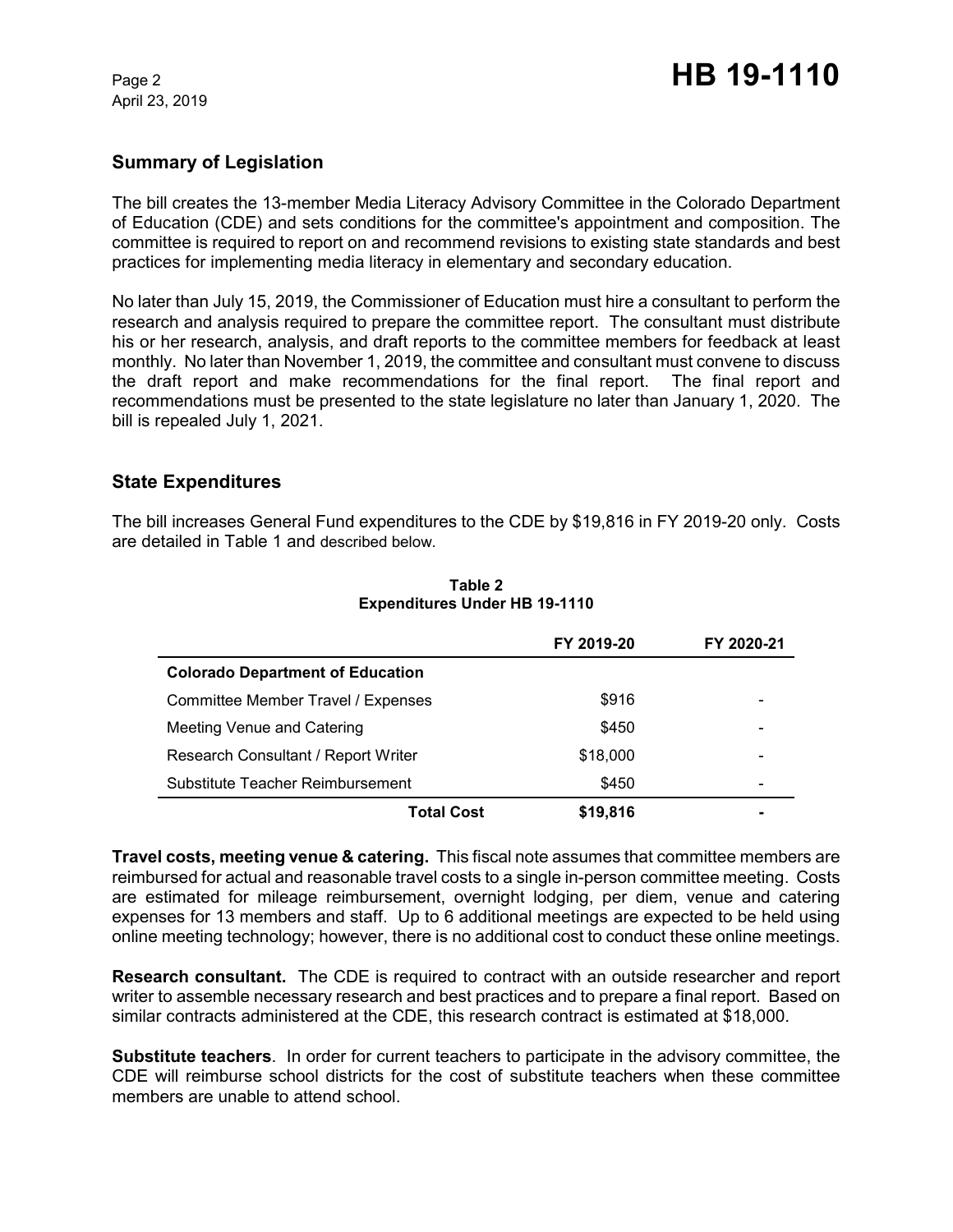April 23, 2019

### **Summary of Legislation**

The bill creates the 13-member Media Literacy Advisory Committee in the Colorado Department of Education (CDE) and sets conditions for the committee's appointment and composition. The committee is required to report on and recommend revisions to existing state standards and best practices for implementing media literacy in elementary and secondary education.

No later than July 15, 2019, the Commissioner of Education must hire a consultant to perform the research and analysis required to prepare the committee report. The consultant must distribute his or her research, analysis, and draft reports to the committee members for feedback at least monthly. No later than November 1, 2019, the committee and consultant must convene to discuss the draft report and make recommendations for the final report. The final report and recommendations must be presented to the state legislature no later than January 1, 2020. The bill is repealed July 1, 2021.

### **State Expenditures**

The bill increases General Fund expenditures to the CDE by \$19,816 in FY 2019-20 only. Costs are detailed in Table 1 and described below.

|                                         | FY 2019-20 | FY 2020-21 |
|-----------------------------------------|------------|------------|
| <b>Colorado Department of Education</b> |            |            |
| Committee Member Travel / Expenses      | \$916      |            |
| Meeting Venue and Catering              | \$450      |            |
| Research Consultant / Report Writer     | \$18,000   |            |
| Substitute Teacher Reimbursement        | \$450      |            |
| Total Cost                              | \$19,816   |            |

#### **Table 2 Expenditures Under HB 19-1110**

**Travel costs, meeting venue & catering.** This fiscal note assumes that committee members are reimbursed for actual and reasonable travel costs to a single in-person committee meeting. Costs are estimated for mileage reimbursement, overnight lodging, per diem, venue and catering expenses for 13 members and staff. Up to 6 additional meetings are expected to be held using online meeting technology; however, there is no additional cost to conduct these online meetings.

**Research consultant.** The CDE is required to contract with an outside researcher and report writer to assemble necessary research and best practices and to prepare a final report. Based on similar contracts administered at the CDE, this research contract is estimated at \$18,000.

**Substitute teachers**. In order for current teachers to participate in the advisory committee, the CDE will reimburse school districts for the cost of substitute teachers when these committee members are unable to attend school.